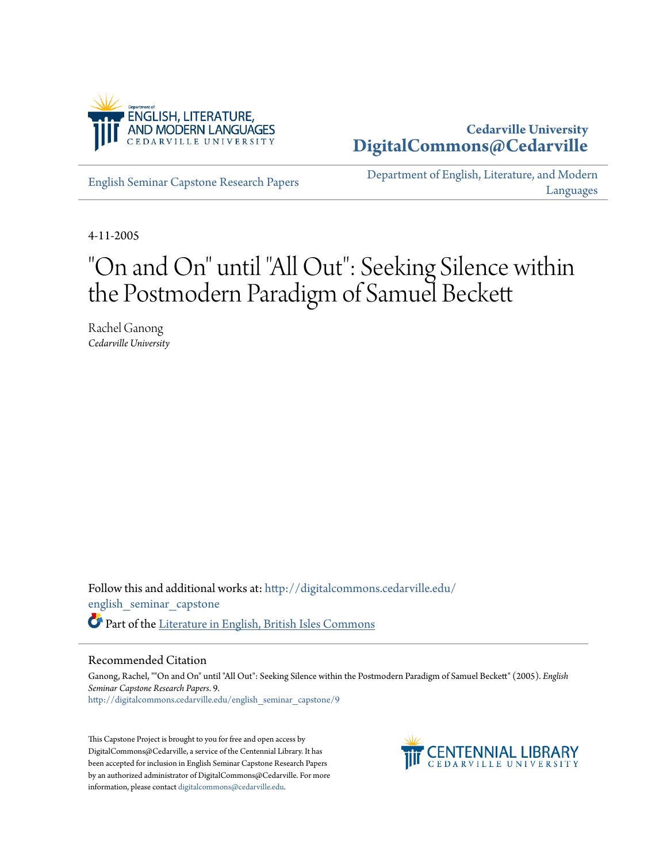

# **Cedarville University [DigitalCommons@Cedarville](http://digitalcommons.cedarville.edu?utm_source=digitalcommons.cedarville.edu%2Fenglish_seminar_capstone%2F9&utm_medium=PDF&utm_campaign=PDFCoverPages)**

[English Seminar Capstone Research Papers](http://digitalcommons.cedarville.edu/english_seminar_capstone?utm_source=digitalcommons.cedarville.edu%2Fenglish_seminar_capstone%2F9&utm_medium=PDF&utm_campaign=PDFCoverPages)

[Department of English, Literature, and Modern](http://digitalcommons.cedarville.edu/english_literature_modern_languages?utm_source=digitalcommons.cedarville.edu%2Fenglish_seminar_capstone%2F9&utm_medium=PDF&utm_campaign=PDFCoverPages) [Languages](http://digitalcommons.cedarville.edu/english_literature_modern_languages?utm_source=digitalcommons.cedarville.edu%2Fenglish_seminar_capstone%2F9&utm_medium=PDF&utm_campaign=PDFCoverPages)

4-11-2005

# "On and On" until "All Out": Seeking Silence within the Postmodern Paradigm of Samuel Beckett

Rachel Ganong *Cedarville University*

Follow this and additional works at: [http://digitalcommons.cedarville.edu/](http://digitalcommons.cedarville.edu/english_seminar_capstone?utm_source=digitalcommons.cedarville.edu%2Fenglish_seminar_capstone%2F9&utm_medium=PDF&utm_campaign=PDFCoverPages) [english\\_seminar\\_capstone](http://digitalcommons.cedarville.edu/english_seminar_capstone?utm_source=digitalcommons.cedarville.edu%2Fenglish_seminar_capstone%2F9&utm_medium=PDF&utm_campaign=PDFCoverPages) Part of the [Literature in English, British Isles Commons](http://network.bepress.com/hgg/discipline/456?utm_source=digitalcommons.cedarville.edu%2Fenglish_seminar_capstone%2F9&utm_medium=PDF&utm_campaign=PDFCoverPages)

#### Recommended Citation

Ganong, Rachel, ""On and On" until "All Out": Seeking Silence within the Postmodern Paradigm of Samuel Beckett" (2005). *English Seminar Capstone Research Papers*. 9. [http://digitalcommons.cedarville.edu/english\\_seminar\\_capstone/9](http://digitalcommons.cedarville.edu/english_seminar_capstone/9?utm_source=digitalcommons.cedarville.edu%2Fenglish_seminar_capstone%2F9&utm_medium=PDF&utm_campaign=PDFCoverPages)

This Capstone Project is brought to you for free and open access by DigitalCommons@Cedarville, a service of the Centennial Library. It has been accepted for inclusion in English Seminar Capstone Research Papers by an authorized administrator of DigitalCommons@Cedarville. For more information, please contact [digitalcommons@cedarville.edu.](mailto:digitalcommons@cedarville.edu)

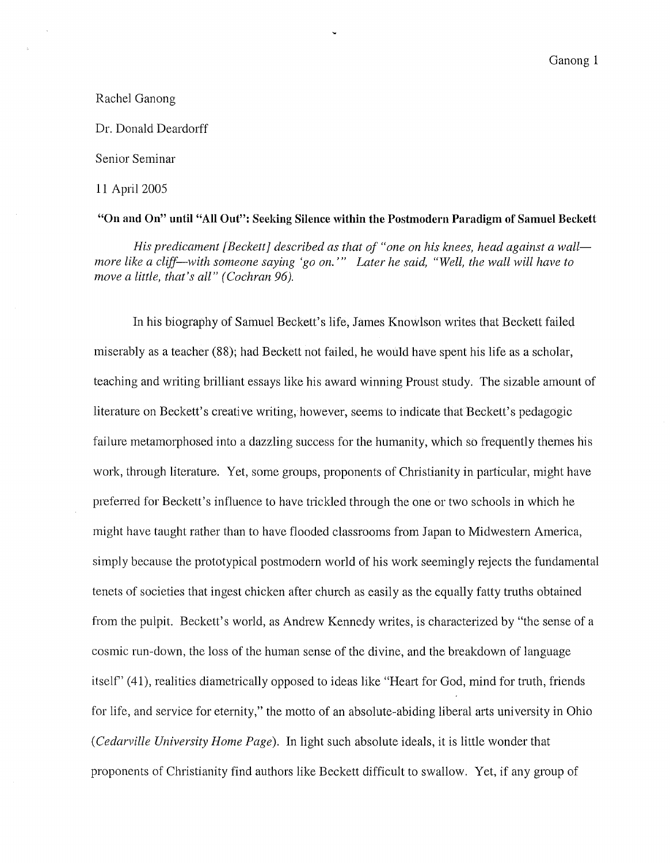# Rachel Ganong

Dr. Donald Deardorff

### Senior Seminar

#### 11 April 2005

# **"On and On" until "All Out": Seeking Silence within the Postmodern Paradigm of Samuel Beckett**

His predicament [Beckett] described as that of "one on his knees, head against a wall *more like a cliff-with someone saying 'go on.'" Later he said, "Well, the wall will have to move a little, that's all" (Cochran 96).* 

In his biography of Samuel Beckett's life, James Knowlson writes that Beckett failed miserably as a teacher (88); had Beckett not failed, he would have spent his life as a scholar, teaching and writing brilliant essays like his award winning Proust study. The sizable amount of literature on Beckett's creative writing, however, seems to indicate that Beckett's pedagogic failure metamorphosed into a dazzling success for the humanity, which so frequently themes his work, through literature. Yet, some groups, proponents of Christianity in particular, might have preferred for Beckett's influence to have trickled through the one or two schools in which he might have taught rather than to have flooded classrooms from Japan to Midwestern America, simply because the prototypical postmodern world of his work seemingly rejects the fundamental tenets of societies that ingest chicken after church as easily as the equally fatty truths obtained from the pulpit. Beckett's world, as Andrew Kennedy writes, is characterized by "the sense of a cosmic run-down, the loss of the human sense of the divine, and the breakdown of language itself' (41), realities diametrically opposed to ideas like "Heart for God, mind for truth, friends for life, and service for eternity," the motto of an absolute-abiding liberal arts university in Ohio *(Cedarville University Home Page).* In light such absolute ideals, it is little wonder that proponents of Christianity find authors like Beckett difficult to swallow. Yet, if any group of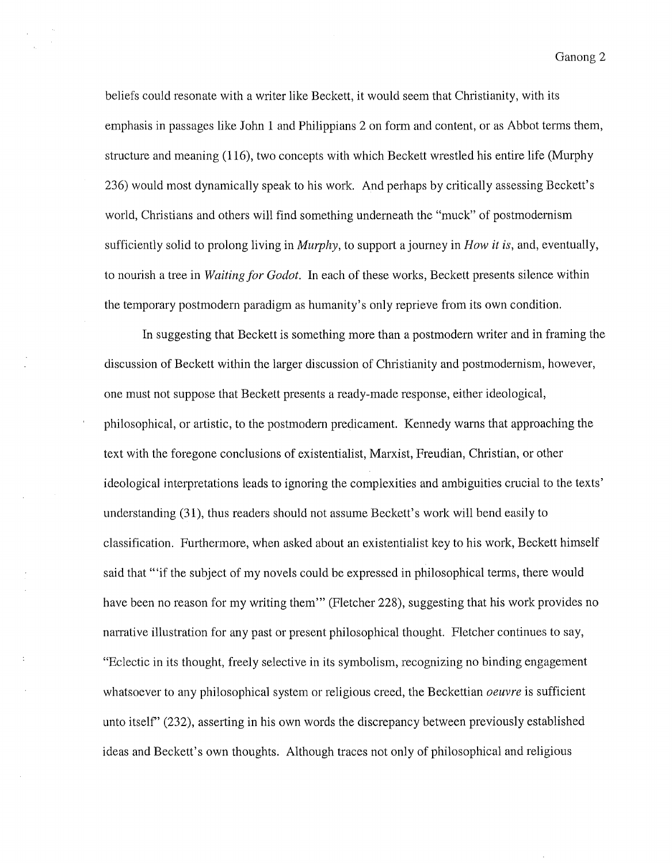beliefs could resonate with a writer like Beckett, it would seem that Christianity, with its emphasis in passages like John 1 and Philippians 2 on form and content, or as Abbot terms them, structure and meaning (116), two concepts with which Beckett wrestled his entire life (Murphy 236) would most dynamically speak to his work. And perhaps by critically assessing Beckett's world, Christians and others will find something underneath the "muck" of postmodernism sufficiently solid to prolong living in *Murphy,* to support a journey in *How it is,* and, eventually, to nourish a tree in *Waiting for Godot.* In each of these works, Beckett presents silence within the temporary postmodern paradigm as humanity's only reprieve from its own condition.

In suggesting that Beckett is something more than a postmodern writer and in framing the discussion of Beckett within the larger discussion of Christianity and postmodernism, however, one must not suppose that Beckett presents a ready-made response, either ideological, philosophical, or artistic, to the postmodern predicament. Kennedy warns that approaching the text with the foregone conclusions of existentialist, Marxist, Freudian, Christian, or other ideological interpretations leads to ignoring the complexities and ambiguities crucial to the texts' understanding (31), thus readers should not assume Beckett's work will bend easily to classification. Furthermore, when asked about an existentialist key to his work, Beckett himself said that "'if the subject of my novels could be expressed in philosophical terms, there would have been no reason for my writing them" (Fletcher 228), suggesting that his work provides no narrative illustration for any past or present philosophical thought. Fletcher continues to say, "Eclectic in its thought, freely selective in its symbolism, recognizing no binding engagement whatsoever to any philosophical system or religious creed, the Beckettian *oeuvre* is sufficient unto itself' (232), asserting in his own words the discrepancy between previously established ideas and Beckett's own thoughts. Although traces not only of philosophical and religious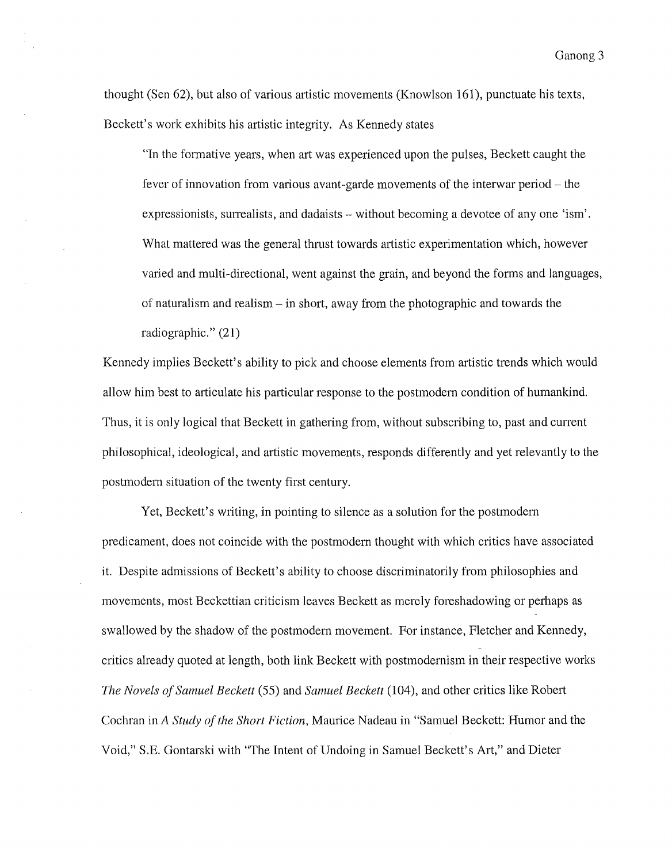thought (Sen 62), but also of various artistic movements (Knowlson 161), punctuate his texts, Beckett's work exhibits his artistic integrity. As Kennedy states

"In the formative years, when art was experienced upon the pulses, Beckett caught the fever of innovation from various avant-garde movements of the interwar period- the expressionists, surrealists, and dadaists – without becoming a devotee of any one 'ism'. What mattered was the general thrust towards artistic experimentation which, however varied and multi-directional, went against the grain, and beyond the forms and languages, of naturalism and realism - in short, away from the photographic and towards the radiographic." (21)

Kennedy implies Beckett's ability to pick and choose elements from artistic trends which would allow him best to articulate his particular response to the postmodern condition of humankind. Thus, it is only logical that Beckett in gathering from, without subscribing to, past and current philosophical, ideological, and artistic movements, responds differently and yet relevantly to the postmodern situation of the twenty first century.

Yet, Beckett's writing, in pointing to silence as a solution for the postmodern predicament, does not coincide with the postmodern thought with which critics have associated it. Despite admissions of Beckett's ability to choose discriminatorily from philosophies and movements, most Beckettian criticism leaves Beckett as merely foreshadowing or perhaps as swallowed by the shadow of the postmodern movement. For instance, Fletcher and Kennedy, critics already quoted at length, both link Beckett with postmodernism in their respective works *The Novels of Samuel Beckett* (55) and *Samuel Beckett* (104), and other critics like Robert Cochran in *A Study of the Short Fiction,* Maurice Nadeau in "Samuel Beckett: Humor and the Void," S.E. Gontarski with "The Intent of Undoing in Samuel Beckett's Art," and Dieter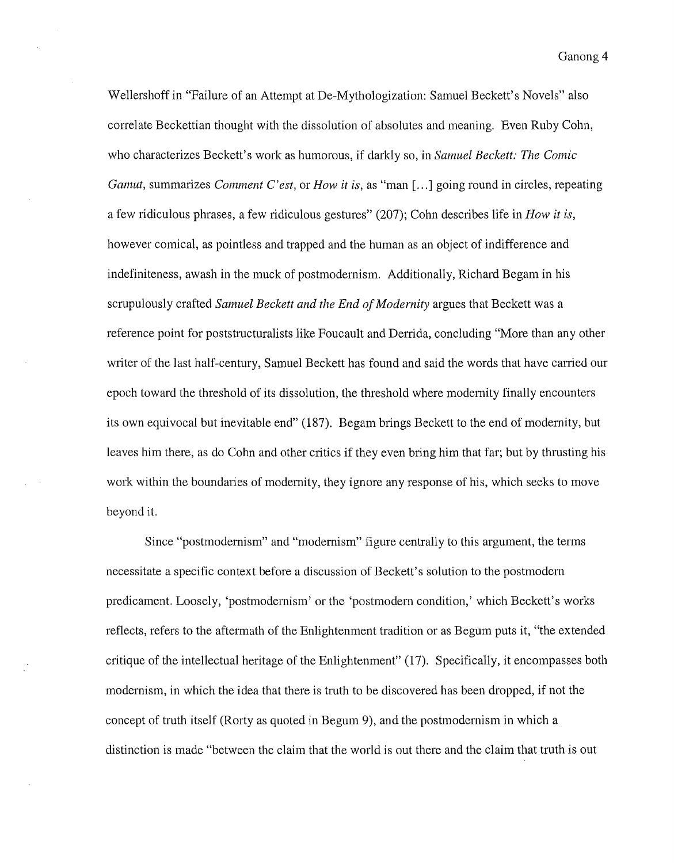Wellershoff in "Failure of an Attempt at De-Mythologization: Samuel Beckett's Novels" also correlate Beckettian thought with the dissolution of absolutes and meaning. Even Ruby Cohn, who characterizes Beckett's work as humorous, if darkly so, in *Samuel Beckett: The Comic Gamut,* summarizes *Comment C'est,* or *How it is,* as "man[ ... ] going round in circles, repeating a few ridiculous phrases, a few ridiculous gestures" (207); Cohn describes life in *How it is,*  however comical, as pointless and trapped and the human as an object of indifference and indefiniteness, awash in the muck of postmodernism. Additionally, Richard Begam in his scrupulously crafted *Samuel Beckett and the End of Modernity* argues that Beckett was a reference point for poststructuralists like Foucault and Derrida, concluding "More than any other writer of the last half-century, Samuel Beckett has found and said the words that have carried our epoch toward the threshold of its dissolution, the threshold where modernity finally encounters its own equivocal but inevitable end" (187). Begam brings Beckett to the end of modernity, but leaves him there, as do Cohn and other critics if they even bring him that far; but by thrusting his work within the boundaries of modernity, they ignore any response of his, which seeks to move beyond it.

Since "postmodernism" and "modernism" figure centrally to this argument, the terms necessitate a specific context before a discussion of Beckett's solution to the postmodern predicament. Loosely, 'postmodernism' or the 'postmodern condition,' which Beckett's works reflects, refers to the aftermath of the Enlightenment tradition or as Begum puts it, "the extended critique of the intellectual heritage of the Enlightenment" (17). Specifically, it encompasses both modernism, in which the idea that there is truth to be discovered has been dropped, if not the concept of truth itself (Rorty as quoted in Begum 9), and the postmodernism in which a distinction is made "between the claim that the world is out there and the claim that truth is out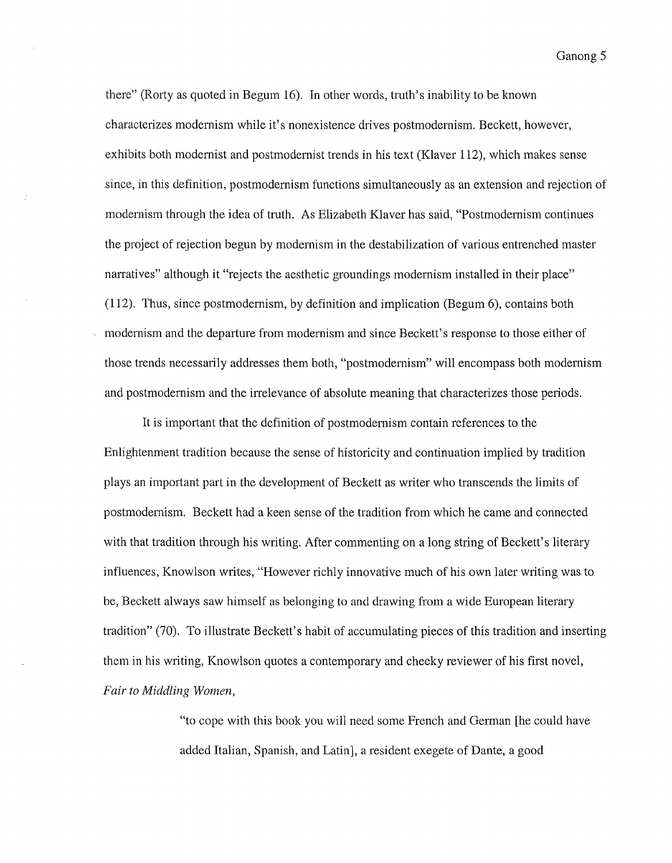there" (Rorty as quoted in Begum 16). In other words, truth's inability to be known characterizes modernism while it's nonexistence drives postmodernism. Beckett, however, exhibits both modernist and postmodernist trends in his text (Klaver 112), which makes sense since, in this definition, postmodernism functions simultaneously as an extension and rejection of modernism through the idea of truth. As Elizabeth Klaver has said, "Postmodernism continues the project of rejection begun by modernism in the destabilization of various entrenched master narratives" although it "rejects the aesthetic groundings modernism installed in their place" (112). Thus, since postmodernism, by definition and implication (Begum 6), contains both modernism and the departure from modernism and since Beckett's response to those either of those trends necessarily addresses them both, "postmodernism" will encompass both modernism and postmodernism and the irrelevance of absolute meaning that characterizes those periods.

It is important that the definition of postmodernism contain references to the Enlightenment tradition because the sense of historicity and continuation implied by tradition plays an important part in the development of Beckett as writer who transcends the limits of postmodernism. Beckett had a keen sense of the tradition from which he came and connected with that tradition through his writing. After commenting on a long string of Beckett's literary influences, Knowlson writes, "However richly innovative much of his own later writing was to be, Beckett always saw himself as belonging to and drawing from a wide European literary tradition" (70). To illustrate Beckett's habit of accumulating pieces of this tradition and inserting them in his writing, Knowlson quotes a contemporary and cheeky reviewer of his first novel, *Fair to Middling Women,* 

> "to cope with this book you will need some French and German [he could have added Italian, Spanish, and Latin], a resident exegete of Dante, a good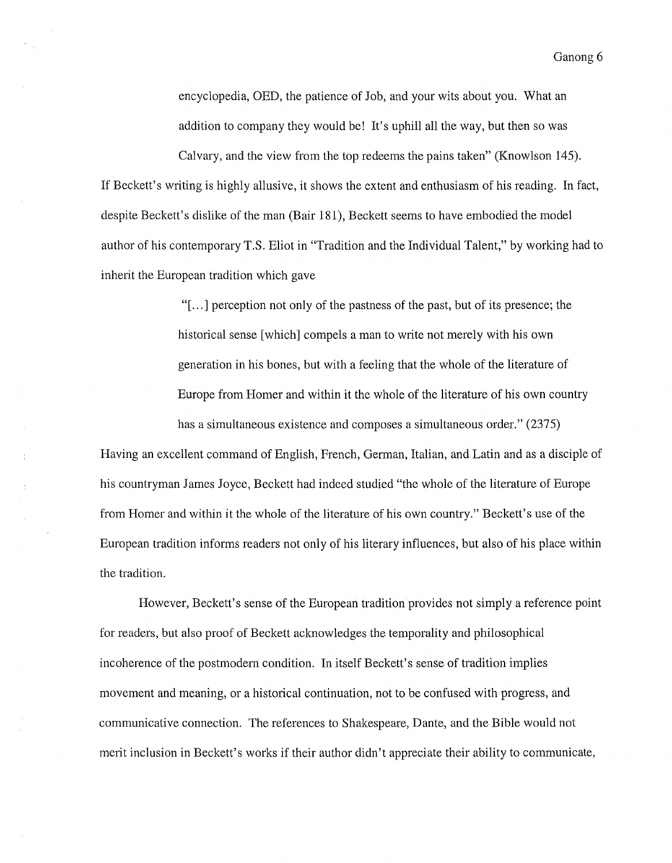encyclopedia, OED, the patience of Job, and your wits about you. What an addition to company they would be! It's uphill all the way, but then so was

Calvary, and the view from the top redeems the pains taken" (Knowlson 145). If Beckett's writing is highly allusive, it shows the extent and enthusiasm of his reading. In fact, despite Beckett's dislike of the man (Bair 181), Beckett seems to have embodied the model author of his contemporary T.S. Eliot in "Tradition and the Individual Talent," by working had to inherit the European tradition which gave

> "[ ... ] perception not only of the pastness of the past, but of its presence; the historical sense [which] compels a man to write not merely with his own generation in his bones, but with a feeling that the whole of the literature of Europe from Homer and within it the whole of the literature of his own country has a simultaneous existence and composes a simultaneous order." (2375)

Having an excellent command of English, French, German, Italian, and Latin and as a disciple of his countryman James Joyce, Beckett had indeed studied "the whole of the literature of Europe from Homer and within it the whole of the literature of his own country." Beckett's use of the European tradition informs readers not only of his literary influences, but also of his place within the tradition.

However, Beckett's sense of the European tradition provides not simply a reference point for readers, but also proof of Beckett acknowledges the temporality and philosophical incoherence of the postmodern condition. In itself Beckett's sense of tradition implies movement and meaning, or a historical continuation, not to be confused with progress, and communicative connection. The references to Shakespeare, Dante, and the Bible would not merit inclusion in Beckett's works if their author didn't appreciate their ability to communicate,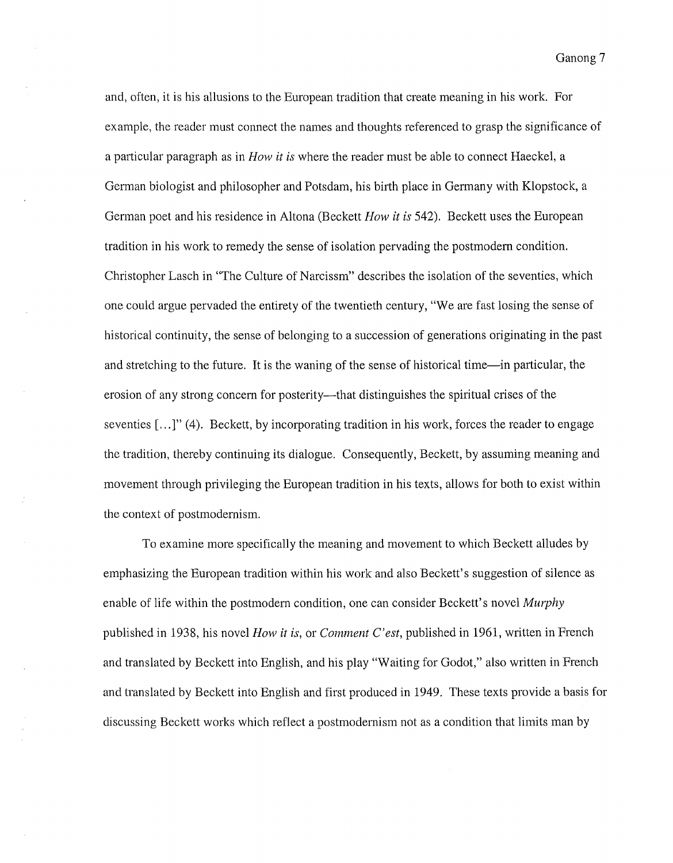Ganong<sub>7</sub>

and, often, it is his allusions to the European tradition that create meaning in his work. For example, the reader must connect the names and thoughts referenced to grasp the significance of a particular paragraph as in *How it is* where the reader must be able to connect Haeckel, a German biologist and philosopher and Potsdam, his birth place in Germany with Klopstock, a German poet and his residence in Altona (Beckett *How it is* 542). Beckett uses the European tradition in his work to remedy the sense of isolation pervading the postmodem condition. Christopher Lasch in "The Culture of Narcissm" describes the isolation of the seventies, which one could argue pervaded the entirety of the twentieth century, "We are fast losing the sense of historical continuity, the sense of belonging to a succession of generations originating in the past and stretching to the future. It is the waning of the sense of historical time—in particular, the erosion of any strong concern for posterity—that distinguishes the spiritual crises of the seventies [...]" (4). Beckett, by incorporating tradition in his work, forces the reader to engage the tradition, thereby continuing its dialogue. Consequently, Beckett, by assuming meaning and movement through privileging the European tradition in his texts, allows for both to exist within the context of postmodemism.

To examine more specifically the meaning and movement to which Beckett alludes by emphasizing the European tradition within his work and also Beckett's suggestion of silence as enable of life within the postmodem condition, one can consider Beckett's novel *Murphy*  published in 1938, his novel *How it is,* or *Comment C'est,* published in 1961, written in French and translated by Beckett into English, and his play "Waiting for Godot," also written in French and translated by Beckett into English and first produced in 1949. These texts provide a basis for discussing Beckett works which reflect a postmodemism not as a condition that limits man by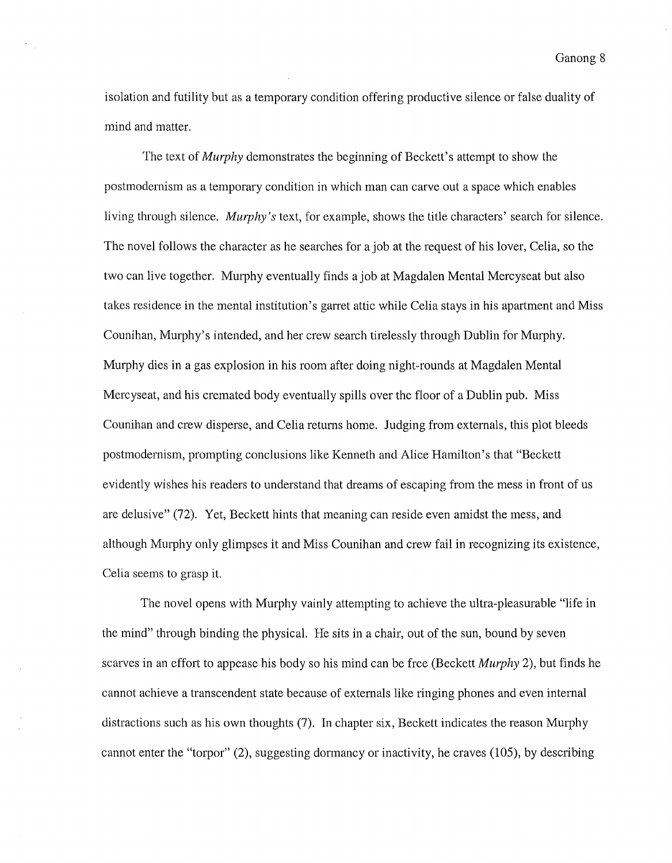isolation and futility but as a temporary condition offering productive silence or false duality of mind and matter.

The text of *Murphy* demonstrates the beginning of Beckett's attempt to show the postmodernism as a temporary condition in which man can carve out a space which enables living through silence. *Murphy's* text, for example, shows the title characters' search for silence. The novel follows the character as he searches for a job at the request of his lover, Celia, so the two can live together. Murphy eventually finds a job at Magdalen Mental Mercyseat but also takes residence in the mental institution's garret attic while Celia stays in his apartment and Miss Counihan, Murphy's intended, and her crew search tirelessly through Dublin for Murphy. Murphy dies in a gas explosion in his room after doing night-rounds at Magdalen Mental Mercyseat, and his cremated body eventually spills over the floor of a Dublin pub. Miss Counihan and crew disperse, and Celia returns home. Judging from externals, this plot bleeds postmodernism, prompting conclusions like Kenneth and Alice Hamilton's that "Beckett evidently wishes his readers to understand that dreams of escaping from the mess in front of us are delusive" (72). Yet, Beckett hints that meaning can reside even amidst the mess, and although Murphy only glimpses it and Miss Counihan and crew fail in recognizing its existence, Celia seems to grasp it.

The novel opens with Murphy vainly attempting to achieve the ultra-pleasurable "life in the mind" through binding the physical. He sits in a chair, out of the sun, bound by seven scarves in an effort to appease his body so his mind can be free (Beckett *Murphy* 2), but finds he cannot achieve a transcendent state because of externals like ringing phones and even internal distractions such as his own thoughts (7). In chapter six, Beckett indicates the reason Murphy cannot enter the "torpor" (2), suggesting dormancy or inactivity, he craves (105), by describing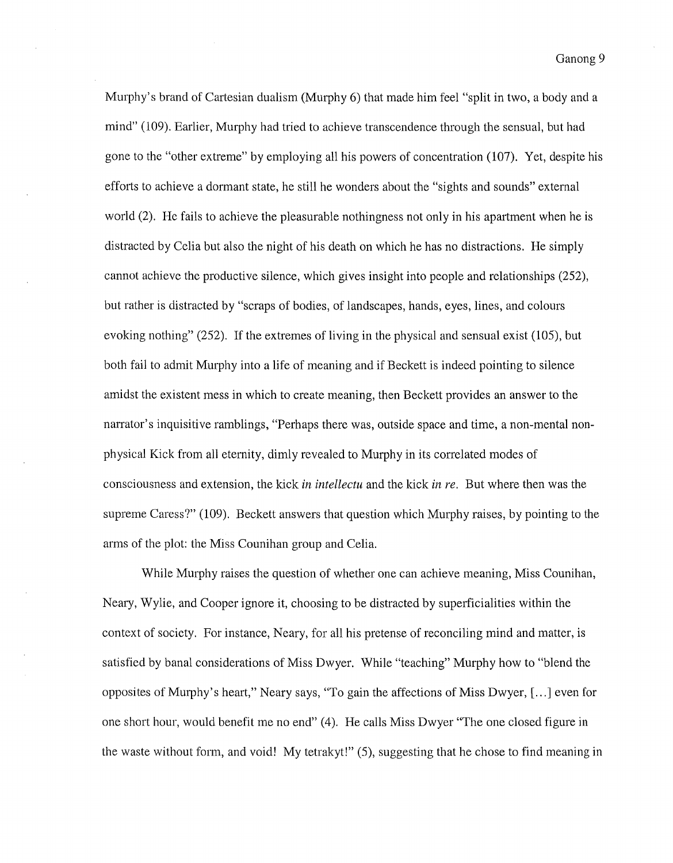Murphy's brand of Cartesian dualism (Murphy 6) that made him feel "split in two, a body and a mind" (109). Earlier, Murphy had tried to achieve transcendence through the sensual, but had gone to the "other extreme" by employing all his powers of concentration (107). Yet, despite his effotts to achieve a dormant state, he still he wonders about the "sights and sounds" external world (2). He fails to achieve the pleasurable nothingness not only in his apartment when he is distracted by Celia but also the night of his death on which he has no distractions. He simply cannot achieve the productive silence, which gives insight into people and relationships (252), but rather is distracted by "scraps of bodies, of landscapes, hands, eyes, lines, and colours evoking nothing"  $(252)$ . If the extremes of living in the physical and sensual exist  $(105)$ , but both fail to admit Murphy into a life of meaning and if Beckett is indeed pointing to silence amidst the existent mess in which to create meaning, then Beckett provides an answer to the narrator's inquisitive ramblings, "Perhaps there was, outside space and time, a non-mental nonphysical Kick from all eternity, dimly revealed to Murphy in its correlated modes of consciousness and extension, the kick *in intellectu* and the kick *in re*. But where then was the supreme Caress?" (109). Beckett answers that question which Murphy raises, by pointing to the arms of the plot: the Miss Counihan group and Celia.

While Murphy raises the question of whether one can achieve meaning, Miss Counihan, Neary, Wylie, and Cooper ignore it, choosing to be distracted by superficialities within the context of society. For instance, Neary, for all his pretense of reconciling mind and matter, is satisfied by banal considerations of Miss Dwyer. While "teaching" Murphy how to "blend the opposites of Murphy's heart," Neary says, "To gain the affections of Miss Dwyer,[ ... ] even for one short hour, would benefit me no end" (4). He calls Miss Dwyer "The one closed figure in the waste without fotm, and void! My tetrakyt!" (5), suggesting that he chose to find meaning in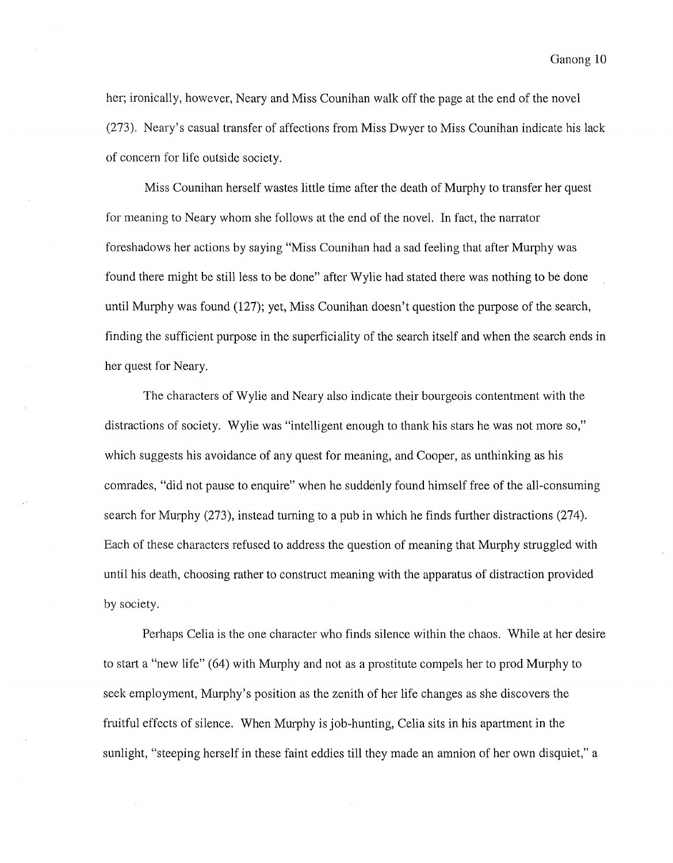her; ironically, however, Neary and Miss Counihan walk off the page at the end of the novel (273). Neary's casual transfer of affections from Miss Dwyer to Miss Counihan indicate his lack of concern for life outside society.

Miss Counihan herself wastes little time after the death of Murphy to transfer her quest for meaning to Neary whom she follows at the end of the novel. In fact, the narrator foreshadows her actions by saying "Miss Counihan had a sad feeling that after Murphy was found there might be still less to be done" after Wylie had stated there was nothing to be done until Murphy was found (127); yet, Miss Counihan doesn't question the purpose of the search, finding the sufficient purpose in the superficiality of the search itself and when the search ends in her quest for Neary.

The characters of Wylie and Neary also indicate their bourgeois contentment with the distractions of society. Wylie was "intelligent enough to thank his stars he was not more so," which suggests his avoidance of any quest for meaning, and Cooper, as unthinking as his comrades, "did not pause to enquire" when he suddenly found himself free of the all-consuming search for Murphy (273), instead turning to a pub in which he finds further distractions (274). Each of these characters refused to address the question of meaning that Murphy struggled with until his death, choosing rather to construct meaning with the apparatus of distraction provided by society.

Perhaps Celia is the one character who finds silence within the chaos. While at her desire to start a "new life" (64) with Murphy and not as a prostitute compels her to prod Murphy to seek employment, Murphy's position as the zenith of her life changes as she discovers the fruitful effects of silence. When Murphy is job-hunting, Celia sits in his apartment in the sunlight, "steeping herself in these faint eddies till they made an amnion of her own disquiet," a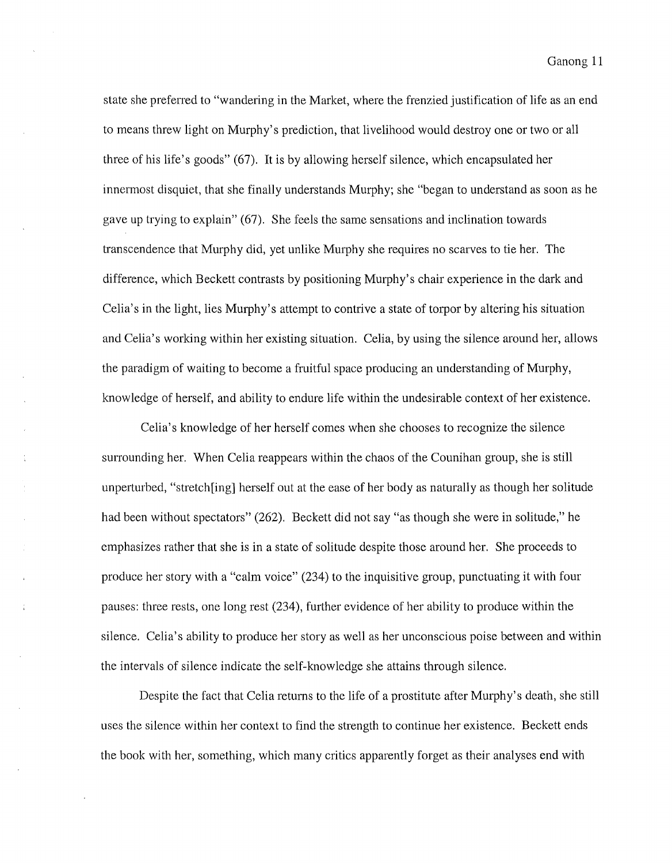state she prefened to "wandering in the Market, where the frenzied justification of life as an end to means threw light on Murphy's prediction, that livelihood would destroy one or two or all three of his life's goods" (67). It is by allowing herself silence, which encapsulated her innermost disquiet, that she finally understands Murphy; she "began to understand as soon as he gave up trying to explain" (67). She feels the same sensations and inclination towards transcendence that Murphy did, yet unlike Murphy she requires no scarves to tie her. The difference, which Beckett contrasts by positioning Murphy's chair experience in the dark and Celia's in the light, lies Murphy's attempt to contrive a state of torpor by altering his situation and Celia's working within her existing situation. Celia, by using the silence around her, allows the paradigm of waiting to become a fruitful space producing an understanding of Murphy, knowledge of herself, and ability to endure life within the undesirable context of her existence.

Celia's knowledge of her herself comes when she chooses to recognize the silence surrounding her. When Celia reappears within the chaos of the Counihan group, she is still unperturbed, "stretch[ing] herself out at the ease of her body as naturally as though her solitude had been without spectators" (262). Beckett did not say "as though she were in solitude," he emphasizes rather that she is in a state of solitude despite those around her. She proceeds to produce her story with a "calm voice" (234) to the inquisitive group, punctuating it with four pauses: three rests, one long rest (234), further evidence of her ability to produce within the silence. Celia's ability to produce her story as well as her unconscious poise between and within the intervals of silence indicate the self-knowledge she attains through silence.

Despite the fact that Celia retums to the life of a prostitute after Murphy's death, she still uses the silence within her context to find the strength to continue her existence. Beckett ends the book with her, something, which many critics apparently forget as their analyses end with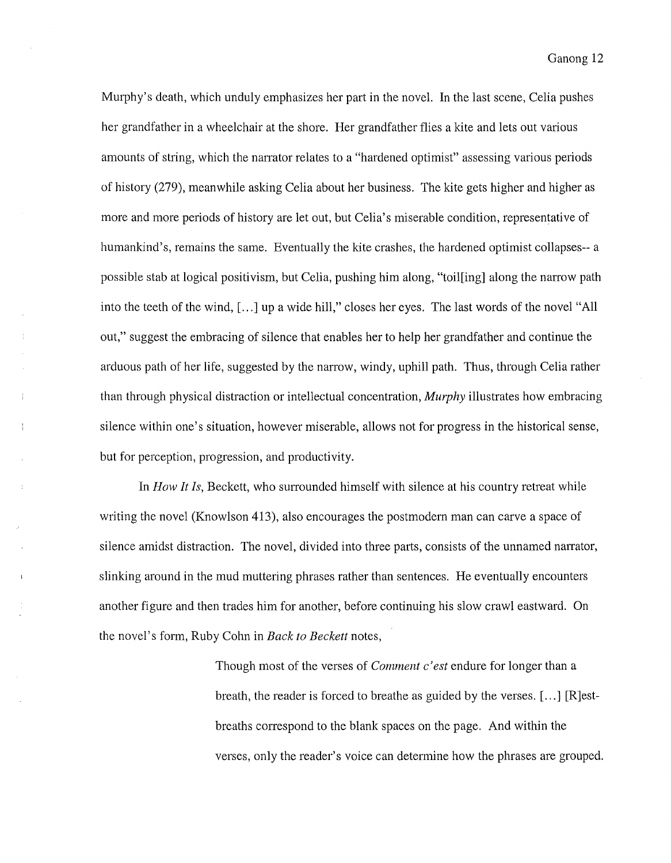Murphy's death, which unduly emphasizes her part in the novel. In the last scene, Celia pushes her grandfather in a wheelchair at the shore. Her grandfather flies a kite and lets out various amounts of string, which the narrator relates to a "hardened optimist" assessing various periods of history (279), meanwhile asking Celia about her business. The kite gets higher and higher as more and more periods of history are let out, but Celia's miserable condition, representative of humankind's, remains the same. Eventually the kite crashes, the hardened optimist collapses-- a possible stab at logical positivism, but Celia, pushing him along, "toil[ing] along the narrow path into the teeth of the wind, [...] up a wide hill," closes her eyes. The last words of the novel "All out," suggest the embracing of silence that enables her to help her grandfather and continue the arduous path of her life, suggested by the narrow, windy, uphill path. Thus, through Celia rather than through physical distraction or intellectual concentration, *Murphy* illustrates how embracing silence within one's situation, however miserable, allows not for progress in the historical sense, but for perception, progression, and productivity.

In *How It Is*, Beckett, who surrounded himself with silence at his country retreat while writing the novel (Knowlson 413), also encourages the postmodem man can carve a space of silence amidst distraction. The novel, divided into three parts, consists of the unnamed narrator, slinking around in the mud muttering phrases rather than sentences. He eventually encounters another figure and then trades him for another, before continuing his slow crawl eastward. On the novel's fotm, Ruby Cohn in *Back to Beckett* notes,

> Though most of the verses of *Comment c 'est* endure for longer than a breath, the reader is forced to breathe as guided by the verses. [ ... ] [R]estbreaths correspond to the blank spaces on the page. And within the verses, only the reader's voice can determine how the phrases are grouped.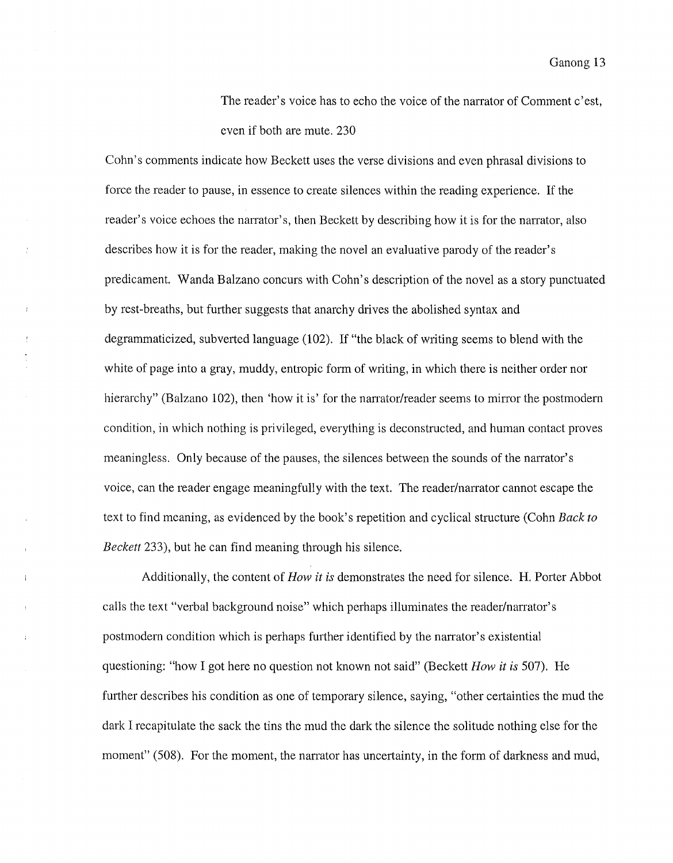The reader's voice has to echo the voice of the narrator of Comment c'est, even if both are mute. 230

Cohn's comments indicate how Beckett uses the verse divisions and even phrasal divisions to force the reader to pause, in essence to create silences within the reading experience. If the reader's voice echoes the narrator's, then Beckett by describing how it is for the narrator, also describes how it is for the reader, making the novel an evaluative parody of the reader's predicament. Wanda Balzano concurs with Cohn's description of the novel as a story punctuated by rest-breaths, but further suggests that anarchy drives the abolished syntax and degrammaticized, subverted language (102). If "the black of writing seems to blend with the white of page into a gray, muddy, entropic form of writing, in which there is neither order nor hierarchy" (Balzano 102), then 'how it is' for the narrator/reader seems to mirror the postmodern condition, in which nothing is privileged, everything is deconstructed, and human contact proves meaningless. Only because of the pauses, the silences between the sounds of the narrator's voice, can the reader engage meaningfully with the text. The reader/narrator cannot escape the text to find meaning, as evidenced by the book's repetition and cyclical structure (Cohn *Back to Beckett* 233), but he can find meaning through his silence.

Additionally, the content of *How it is* demonstrates the need for silence. H. Porter Abbot calls the text "verbal background noise" which perhaps illuminates the reader/narrator's postmodem condition which is perhaps further identified by the narrator's existential questioning: "how I got here no question not known not said" (Beckett *How it is* 507). He further describes his condition as one of temporary silence, saying, "other certainties the mud the dark I recapitulate the sack the tins the mud the dark the silence the solitude nothing else for the moment" (508). For the moment, the narrator has uncertainty, in the form of darkness and mud,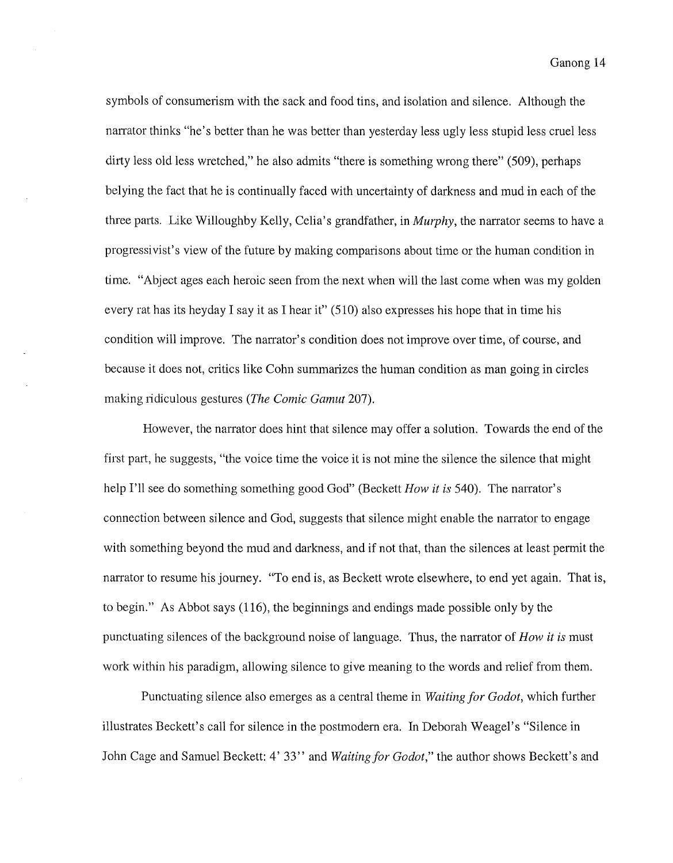symbols of consumerism with the sack and food tins, and isolation and silence. Although the nanator thinks "he's better than he was better than yesterday less ugly less stupid less cruel less dirty less old less wretched," he also admits "there is something wrong there" (509), perhaps belying the fact that he is continually faced with uncertainty of darkness and mud in each of the three parts. Like Willoughby Kelly, Celia's grandfather, in *Murphy,* the narrator seems to have a progressivist's view of the future by making comparisons about time or the human condition in time. "Abject ages each heroic seen from the next when will the last come when was my golden every rat has its heyday I say it as I hear it" (510) also expresses his hope that in time his condition will improve. The narrator's condition does not improve over time, of course, and because it does not, critics like Cohn summarizes the human condition as man going in circles making 1idiculous gestures *(The Comic Gamut* 207).

However, the narrator does hint that silence may offer a solution. Towards the end of the first part, he suggests, "the voice time the voice it is not mine the silence the silence that might help I'll see do something something good God" (Beckett *How it is* 540). The narrator's connection between silence and God, suggests that silence might enable the narrator to engage with something beyond the mud and darkness, and if not that, than the silences at least permit the narrator to resume his journey. "To end is, as Beckett wrote elsewhere, to end yet again. That is, to begin." As Abbot says (116), the beginnings and endings made possible only by the punctuating silences of the background noise of language. Thus, the narrator of *How it is* must work within his paradigm, allowing silence to give meaning to the words and relief from them.

Punctuating silence also emerges as a central theme in *Waiting for Godot,* which further illustrates Beckett's call for silence in the postmodern era. In Deborah Weagel's "Silence in John Cage and Samuel Beckett: 4' 33" and *Waiting for Godot,"* the author shows Beckett's and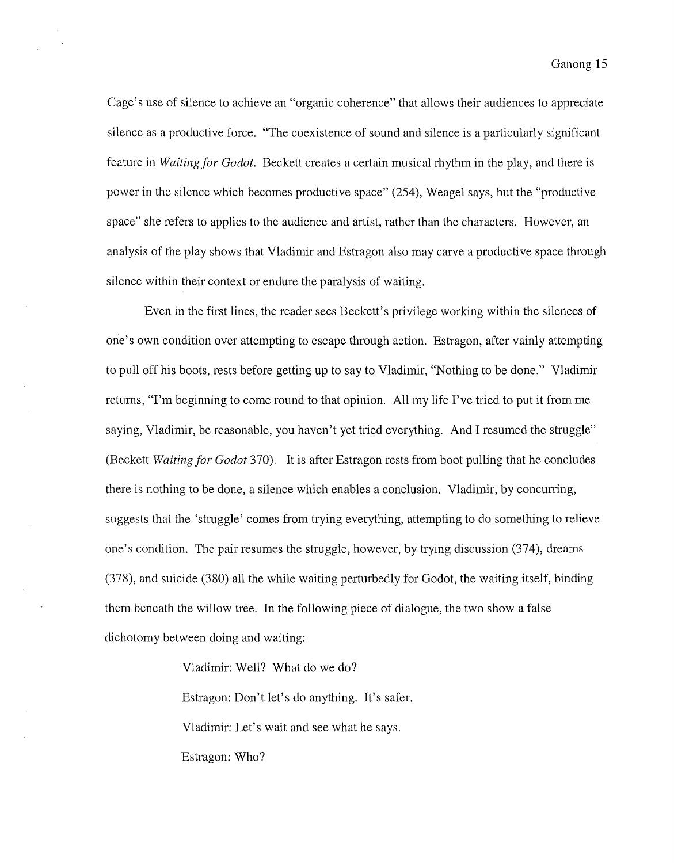Cage's use of silence to achieve an "organic coherence" that allows their audiences to appreciate silence as a productive force. "The coexistence of sound and silence is a particularly significant feature in *Waiting for Godot.* Beckett creates a certain musical rhythm in the play, and there is power in the silence which becomes productive space" (254), Weagel says, but the "productive space" she refers to applies to the audience and artist, rather than the characters. However, an analysis of the play shows that Vladimir and Estragon also may carve a productive space through silence within their context or endure the paralysis of waiting.

Even in the first lines, the reader sees Beckett's privilege working within the silences of one's own condition over attempting to escape through action. Estragon, after vainly attempting to pull off his boots, rests before getting up to say to Vladimir, "Nothing to be done." Vladimir returns, "I'm beginning to come round to that opinion. All my life I've tried to put it from me saying, Vladimir, be reasonable, you haven't yet tried everything. And I resumed the struggle" (Beckett *Waiting for Godot* 370). It is after Estragon rests from boot pulling that he concludes there is nothing to be done, a silence which enables a conclusion. Vladimir, by concurring, suggests that the 'struggle' comes from trying everything, attempting to do something to relieve one's condition. The pair resumes the struggle, however, by trying discussion (374), dreams (378), and suicide (380) all the while waiting perturbedly for Godot, the waiting itself, binding them beneath the willow tree. In the following piece of dialogue, the two show a false dichotomy between doing and waiting:

Vladimir: Well? What do we do?

Estragon: Don't let's do anything. It's safer.

Vladimir: Let's wait and see what he says.

Estragon: Who?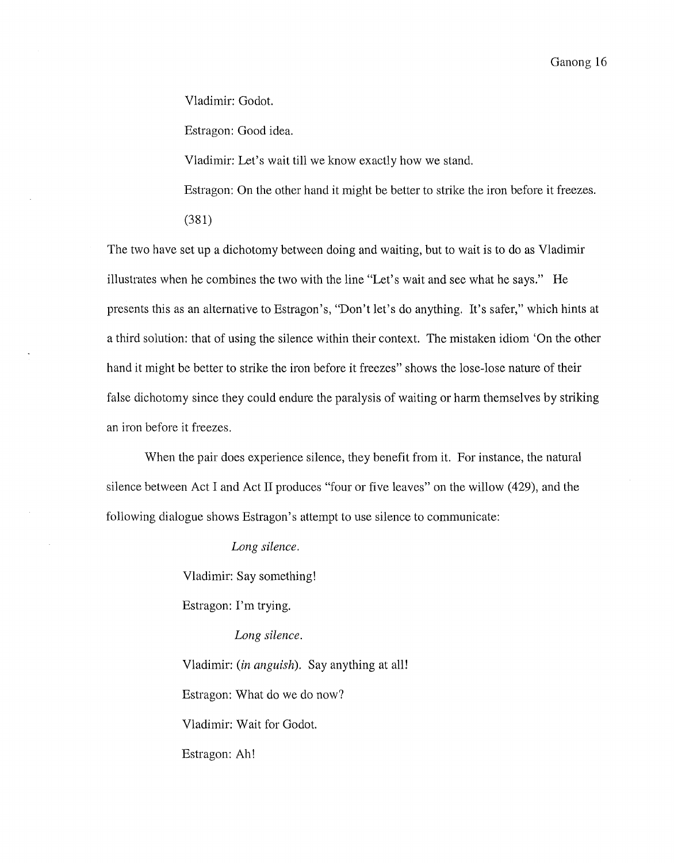Vladimir: Godot.

Estragon: Good idea.

Vladimir: Let's wait till we know exactly how we stand.

Estragon: On the other hand it might be better to strike the iron before it freezes.

(381)

The two have set up a dichotomy between doing and waiting, but to wait is to do as Vladimir illustrates when he combines the two with the line "Let's wait and see what he says." He presents this as an alternative to Estragon's, "Don't let's do anything. It's safer," which hints at a third solution: that of using the silence within their context. The mistaken idiom 'On the other hand it might be better to strike the iron before it freezes" shows the lose-lose nature of their false dichotomy since they could endure the paralysis of waiting or harm themselves by striking an iron before it freezes.

When the pair does experience silence, they benefit from it. For instance, the natural silence between Act I and Act II produces "four or five leaves" on the willow (429), and the following dialogue shows Estragon's attempt to use silence to communicate:

*Long silence.* 

Vladimir: Say something!

Estragon: I'm trying.

*Long silence.* 

Vladimir: *(in anguish).* Say anything at alll Estragon: What do we do now? Vladimir: Wait for Godot. Estragon: Ah!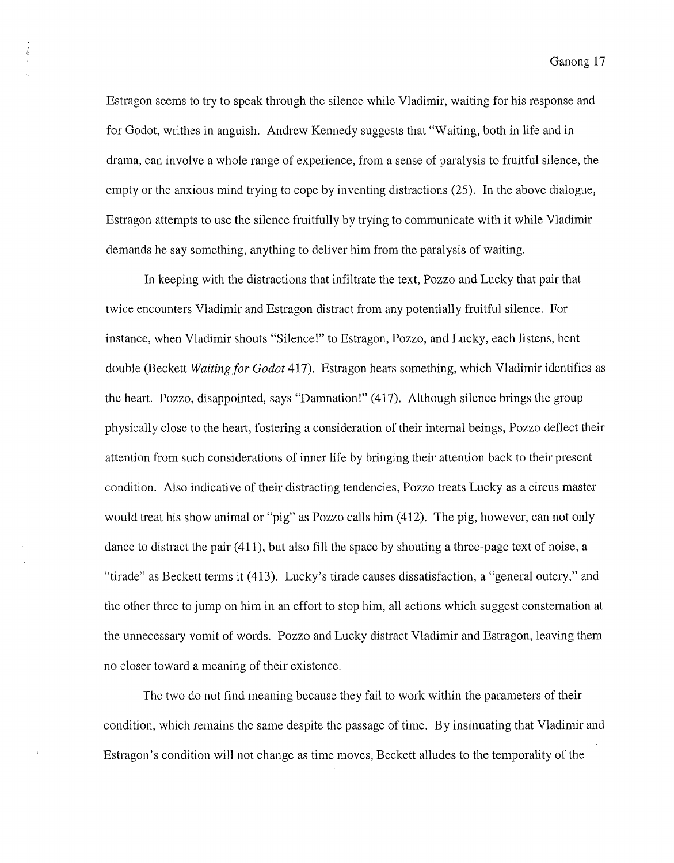Estragon seems to try to speak through the silence while Vladimir, waiting for his response and for Godot, writhes in anguish. Andrew Kennedy suggests that "Waiting, both in life and in drama, can involve a whole range of experience, from a sense of paralysis to fruitful silence, the empty or the anxious mind trying to cope by inventing distractions (25). In the above dialogue, Estragon attempts to use the silence fruitfully by trying to communicate with it while Vladimir demands he say something, anything to deliver him from the paralysis of waiting.

In keeping with the distractions that infiltrate the text, Pozzo and Lucky that pair that twice encounters Vladimir and Estragon distract from any potentially fruitful silence. For instance, when Vladimir shouts "Silence!" to Estragon, Pozzo, and Lucky, each listens, bent double (Beckett *Waiting for Godot* 417). Estragon hears something, which Vladimir identifies as the heart. Pozzo, disappointed, says "Damnation!" (417). Although silence brings the group physically close to the heart, fostering a consideration of their internal beings, Pozzo deflect their attention from such considerations of inner life by bringing their attention back to their present condition. Also indicative of their distracting tendencies, Pozzo treats Lucky as a circus master would treat his show animal or "pig" as Pozzo calls him (412). The pig, however, can not only dance to distract the pair (411), but also fill the space by shouting a three-page text of noise, a "tirade" as Beckett terms it (413). Lucky's tirade causes dissatisfaction, a "general outcry," and the other three to jump on him in an effort to stop him, all actions which suggest consternation at the unnecessary vomit of words. Pozzo and Lucky distract Vladimir and Estragon, leaving them no closer toward a meaning of their existence.

The two do not find meaning because they fail to work within the parameters of their condition, which remains the same despite the passage of time. By insinuating that Vladimir and Estragon 's condition will not change as time moves, Beckett alludes to the temporality of the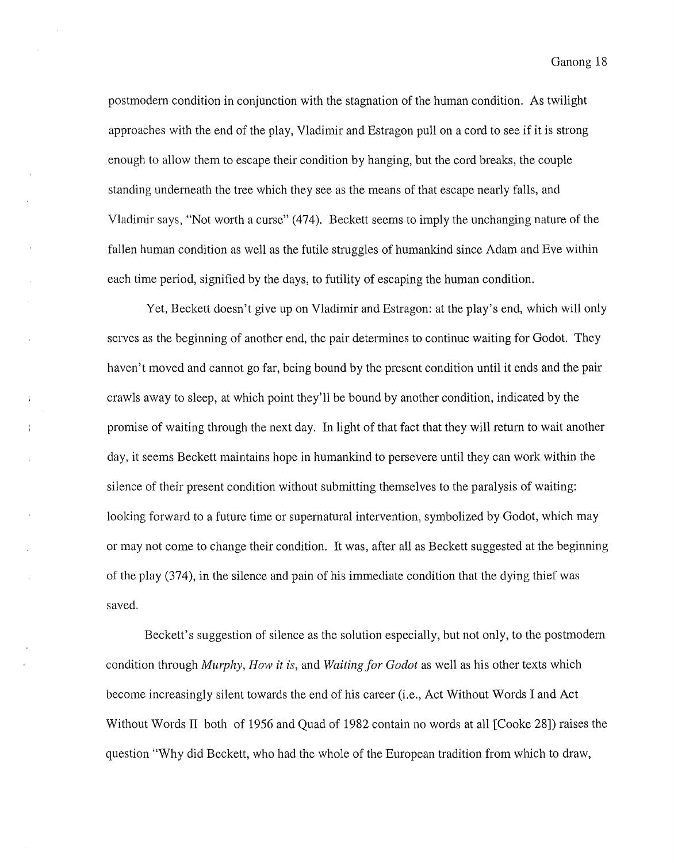postmodern condition in conjunction with the stagnation of the human condition. As twilight approaches with the end of the play, Vladimir and Estragon pull on a cord to see if it is strong enough to allow them to escape their condition by hanging, but the cord breaks, the couple standing underneath the tree which they see as the means of that escape nearly falls, and Vladimir says, "Not worth a curse" (474). Beckett seems to imply the unchanging nature of the fallen human condition as well as the futile struggles of humankind since Adam and Eve within each time period, signified by the days, to futility of escaping the human condition.

Yet, Beckett doesn't give up on Vladimir and Estragon: at the play's end, which will only serves as the beginning of another end, the pair determines to continue waiting for Godot. They haven't moved and cannot go far, being bound by the present condition until it ends and the pair crawls away to sleep, at which point they'll be bound by another condition, indicated by the promise of waiting through the next day. In light of that fact that they will return to wait another day, it seems Beckett maintains hope in humankind to persevere until they can work within the silence of their present condition without submitting themselves to the paralysis of waiting: looking forward to a future time or supernatural intervention, symbolized by Godot, which may or may not come to change their condition. It was, after all as Beckett suggested at the beginning of the play (374), in the silence and pain of his immediate condition that the dying thief was saved.

Beckett's suggestion of silence as the solution especially, but not only, to the postmodern condition through *Murphy, How it is,* and *Waiting for Godot* as well as his other texts which become increasingly silent towards the end of his career (i.e., Act Without Words I and Act Without Words II both of 1956 and Quad of 1982 contain no words at all [Cooke 28]) raises the question "Why did Beckett, who had the whole of the European tradition from which to draw,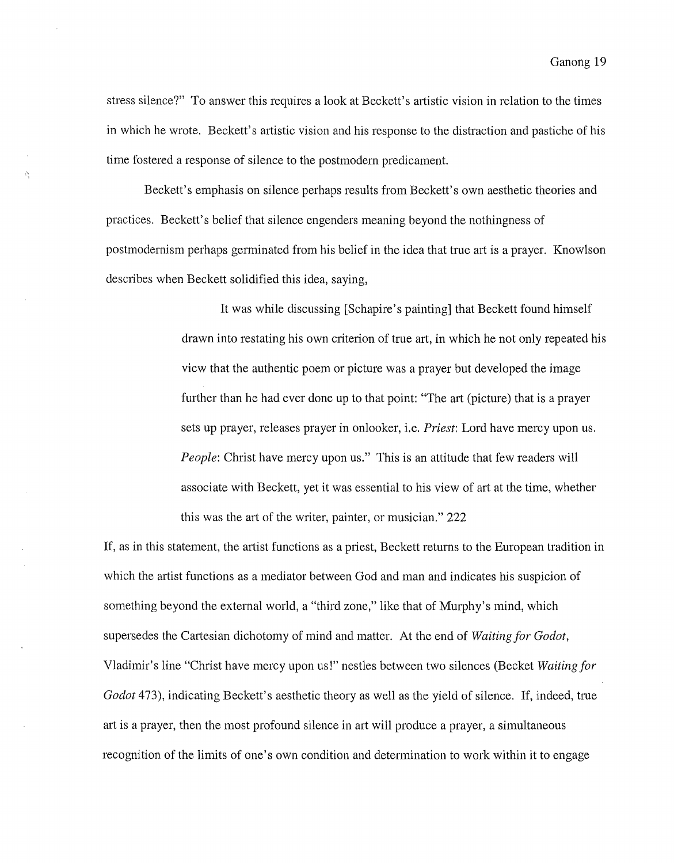stress silence?" To answer this requires a look at Beckett's artistic vision in relation to the times in which he wrote. Beckett's artistic vision and his response to the distraction and pastiche of his time fostered a response of silence to the postmodern predicament.

Ą

Beckett's emphasis on silence perhaps results from Beckett's own aesthetic theories and practices. Beckett's belief that silence engenders meaning beyond the nothingness of postmodernism perhaps germinated from his belief in the idea that true art is a prayer. Knowlson describes when Beckett solidified this idea, saying,

> It was while discussing [Schapire's painting] that Beckett found himself drawn into restating his own criterion of true art, in which he not only repeated his view that the authentic poem or picture was a prayer but developed the image further than he had ever done up to that point: "The art (picture) that is a prayer sets up prayer, releases prayer in onlooker, i.e. *Priest:* Lord have mercy upon us. *People:* Christ have mercy upon us." This is an attitude that few readers will associate with Beckett, yet it was essential to his view of art at the time, whether this was the art of the writer, painter, or musician." 222

If, as in this statement, the artist functions as a priest, Beckett returns to the European tradition in which the artist functions as a mediator between God and man and indicates his suspicion of something beyond the external world, a "third zone," like that of Murphy's mind, which supersedes the Cartesian dichotomy of mind and matter. At the end of *Waiting for Godot,*  Vladimir's line "Christ have mercy upon us!" nestles between two silences (Becket *Waiting for Godot* 473), indicating Beckett's aesthetic theory as well as the yield of silence. If, indeed, true art is a prayer, then the most profound silence in art will produce a prayer, a simultaneous recognition of the limits of one's own condition and determination to work within it to engage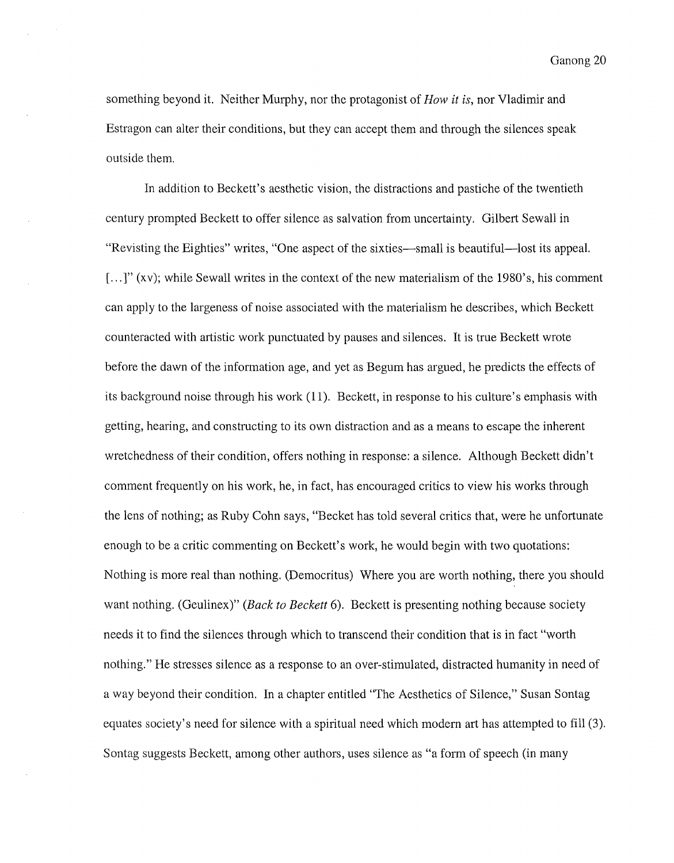something beyond it. Neither Murphy, nor the protagonist of *How it is,* nor Vladimir and Estragon can alter their conditions, but they can accept them and through the silences speak outside them.

In addition to Beckett's aesthetic vision, the distractions and pastiche of the twentieth century prompted Beckett to offer silence as salvation from uncertainty. Gilbert Sewall in "Revisting the Eighties" writes, "One aspect of the sixties—small is beautiful—lost its appeal. [...]" (xv); while Sewall writes in the context of the new materialism of the 1980's, his comment can apply to the largeness of noise associated with the materialism he describes, which Beckett counteracted with artistic work punctuated by pauses and silences. It is true Beckett wrote before the dawn of the information age, and yet as Begum has argued, he predicts the effects of its background noise through his work (11). Beckett, in response to his culture's emphasis with getting, hearing, and constructing to its own distraction and as a means to escape the inherent wretchedness of their condition, offers nothing in response: a silence. Although Beckett didn't comment frequently on his work, he, in fact, has encouraged critics to view his works through the lens of nothing; as Ruby Cohn says, "Becket has told several critics that, were he unfortunate enough to be a critic commenting on Beckett's work, he would begin with two quotations: Nothing is more real than nothing. (Democritus) Where you are worth nothing, there you should want nothing. (Geulinex)" *(Back to Beckett* 6). Beckett is presenting nothing because society needs it to find the silences through which to transcend their condition that is in fact "worth nothing." He stresses silence as a response to an over-stimulated, distracted humanity in need of a way beyond their condition. In a chapter entitled "The Aesthetics of Silence," Susan Sontag equates society's need for silence with a spiritual need which modern art has attempted to fill (3). Sontag suggests Beckett, among other authors, uses silence as "a form of speech (in many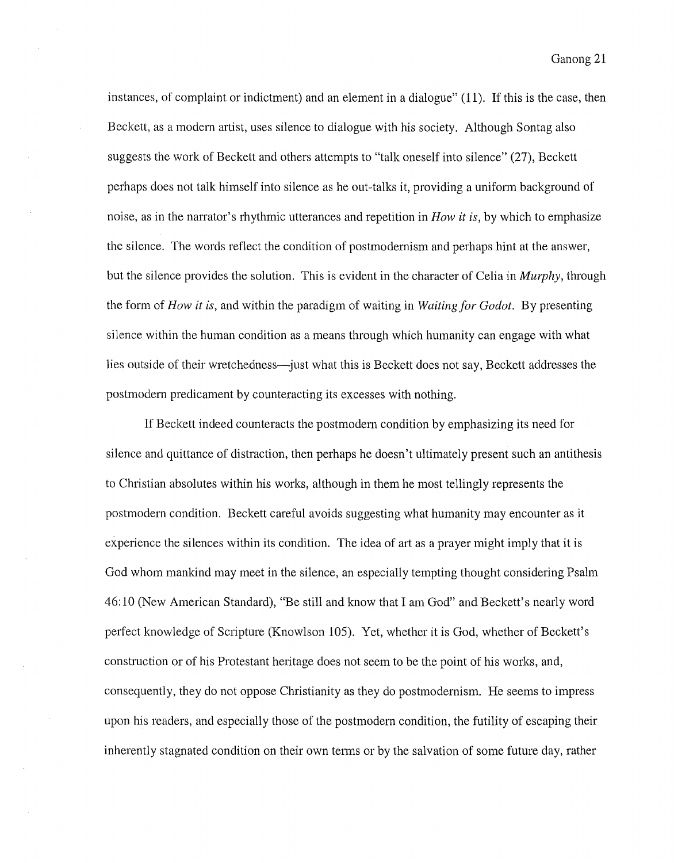instances, of complaint or indictment) and an element in a dialogue" (11). If this is the case, then Beckett, as a modern artist, uses silence to dialogue with his society. Although Sontag also suggests the work of Beckett and others attempts to "talk oneself into silence" (27), Beckett perhaps does not talk himself into silence as he out-talks it, providing a uniform background of noise, as in the narrator's rhythmic utterances and repetition in *How it is,* by which to emphasize the silence. The words reflect the condition of postmodernism and perhaps hint at the answer, but the silence provides the solution. This is evident in the character of Celia in *Murphy,* through the form of *How it is,* and within the paradigm of waiting in *Waiting for Godot.* By presenting silence within the human condition as a means through which humanity can engage with what lies outside of their wretchedness—just what this is Beckett does not say, Beckett addresses the postmodern predicament by counteracting its excesses with nothing.

If Beckett indeed counteracts the postmodern condition by emphasizing its need for silence and quittance of distraction, then perhaps he doesn't ultimately present such an antithesis to Christian absolutes within his works, although in them he most tellingly represents the postmodern condition. Beckett careful avoids suggesting what humanity may encounter as it experience the silences within its condition. The idea of art as a prayer might imply that it is God whom mankind may meet in the silence, an especially tempting thought considering Psalm 46:10 (New American Standard), "Be still and know that I am God" and Beckett's nearly word perfect knowledge of Scripture (Knowlson 105). Yet, whether it is God, whether of Beckett's construction or of his Protestant heritage does not seem to be the point of his works, and, consequently, they do not oppose Christianity as they do postmodernism. He seems to impress upon his readers, and especially those of the postmodern condition, the futility of escaping their inherently stagnated condition on their own terms or by the salvation of some future day, rather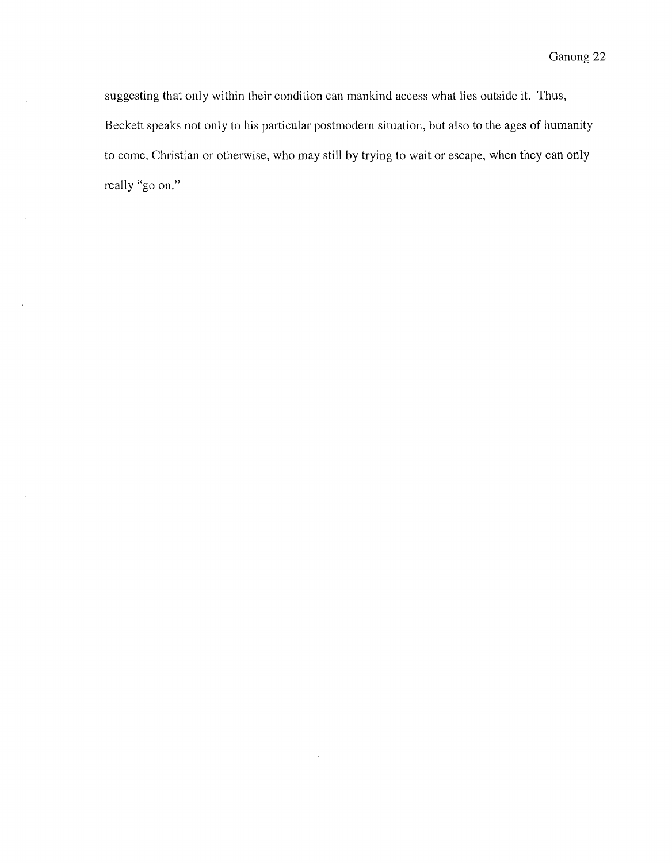suggesting that only within their condition can mankind access what lies outside it. Thus, Beckett speaks not only to his particular postmodern situation, but also to the ages of humanity to come, Christian or otherwise, who may still by trying to wait or escape, when they can only really "go on."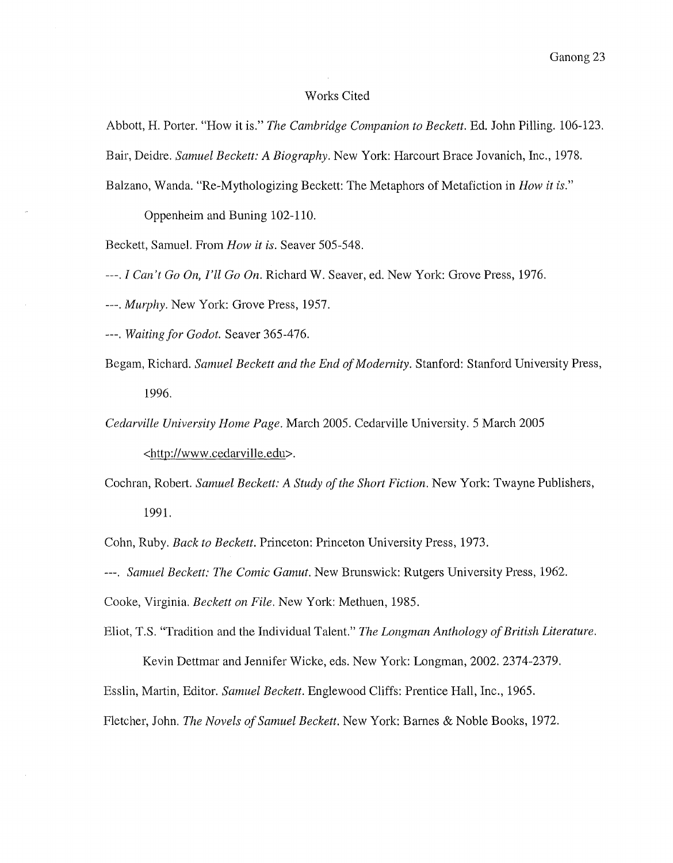#### Works Cited

Abbott, H. Porter. "How it is." *The Cambridge Companion to Beckett.* Ed. John Pilling. 106-123. Bair, Deidre. *Samuel Beckett: A Biography.* New York: Harcourt Brace Jovanich, Inc., 1978. Balzano, Wanda. "Re-Mythologizing Beckett: The Metaphors of Metafiction in *How it is."* 

Oppenheim and Buning 102-110.

Beckett, Samuel. From *How it is.* Seaver 505-548.

---. *I Can't Go On, I'll Go On.* Richard W. Seaver, ed. New York: Grove Press, 1976.

*---.Murphy.* New York: Grove Press, 1957.

---. *Waiting for Godot.* Seaver 365-476.

Begam, Richard. *Samuel Beckett and the End of Modernity.* Stanford: Stanford University Press, 1996.

*Cedarville University Home Page.* March 2005. Cedarville University. 5 March 2005

<http://www .cedarville. edu>.

Cochran, Robert. *Samuel Beckett: A Study ofthe Short Fiction.* New York: Twayne Publishers, 1991.

Cohn, Ruby. *Back to Beckett.* Princeton: Princeton University Press, 1973.

---. *Samuel Beckett: The Comic Gamut.* New Brunswick: Rutgers University Press, 1962.

Cooke, Virginia. *Beckett on File.* New York: Methuen, 1985.

Eliot, T.S. "Tradition and the Individual Talent." *The Longman Anthology of British Literature.* 

Kevin Dettmar and Jennifer Wicke, eds. New York: Longman, 2002. 2374-2379.

Esslin, Martin, Editor. *Samuel Beckett.* Englewood Cliffs: Prentice Hall, Inc., 1965.

Fletcher, John. *The Novels of Samuel Beckett.* New York: Barnes & Noble Books, 1972.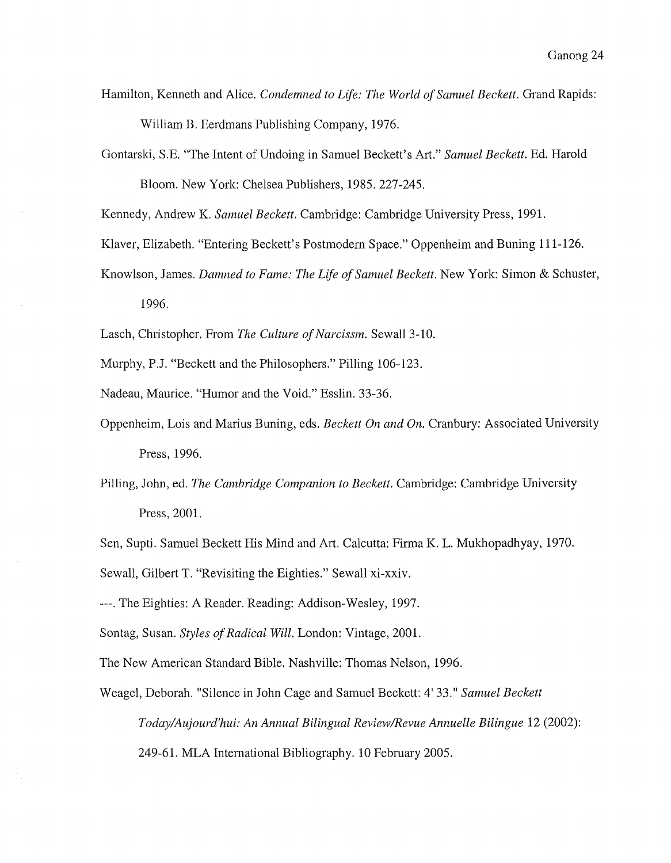- Hamilton, Kenneth and Alice. *Condemned to Life: The World of Samuel Beckett.* Grand Rapids: William B. Eerdmans Publishing Company, 1976.
- Gontarski, S.E. "The Intent of Undoing in Samuel Beckett's Art." *Samuel Beckett.* Ed. Harold Bloom. New York: Chelsea Publishers, 1985. 227-245.

Kennedy, Andrew K. *Samuel Beckett.* Cambridge: Cambridge University Press, 1991.

- Klaver, Elizabeth. "Entering Beckett's Postmodem Space." Oppenheim and Buning 111-126.
- Knowlson, James. *Damned to Fame: The Life of Samuel Beckett.* New York: Simon & Schuster,
	- 1996.

Lasch, Chtistopher. From *The Culture of Narcissm.* Sewall 3-10.

Murphy, P.J. "Beckett and the Philosophers." Pilling 106-123.

Nadeau, Maurice. "Humor and the Void." Esslin. 33-36.

- Oppenheim, Lois and Marius Buning, eds. *Beckett On and On.* Cranbury: Associated University Press, 1996.
- Pilling, John, ed. *The Cambridge Companion to Beckett.* Cambridge: Cambridge University Press, 2001.

Sen, Supti. Samuel Beckett His Mind and Art. Calcutta: Firma K. L. Mukhopadhyay, 1970.

Sewall, Gilbert T. "Revisiting the Eighties." Sewall xi-xxiv.

---.The Eighties: A Reader. Reading: Addison-Wesley, 1997.

Sontag, Susan. *Styles of Radical Will.* London: Vintage, 2001.

The New American Standard Bible. Nashville: Thomas Nelson, 1996.

Weagel, Deborah. "Silence in John Cage and Samuel Beckett: 4' 33." *Samuel Beckett Today/Aujourd'hui: An Annual Bilingual Review/Revue Annuelle Bilingue* 12 (2002): 249-61. MLA International Bibliography. 10 February 2005.